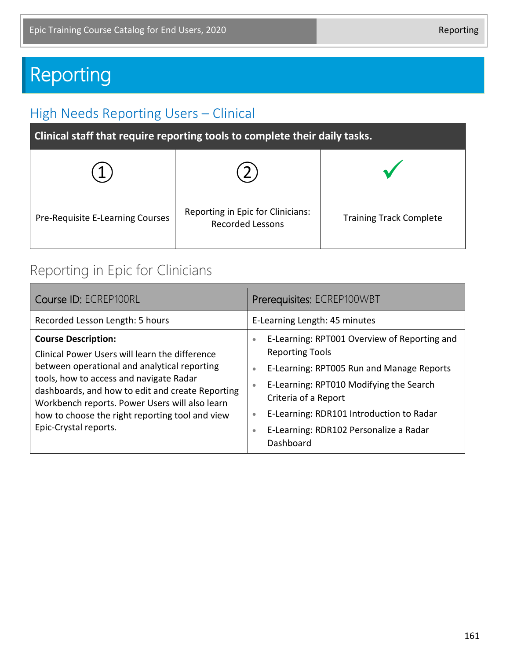# Reporting

## High Needs Reporting Users – Clinical

| Pre-Requisite E-Learning Courses | Reporting in Epic for Clinicians:<br><b>Recorded Lessons</b> | <b>Training Track Complete</b> |
|----------------------------------|--------------------------------------------------------------|--------------------------------|

## Reporting in Epic for Clinicians

| Course ID: ECREP100RL                                                                                                                                                                                                                                                                                                                                     | Prerequisites: ECREP100WBT                                                                                                                                                                                                                                                                                                                                 |  |
|-----------------------------------------------------------------------------------------------------------------------------------------------------------------------------------------------------------------------------------------------------------------------------------------------------------------------------------------------------------|------------------------------------------------------------------------------------------------------------------------------------------------------------------------------------------------------------------------------------------------------------------------------------------------------------------------------------------------------------|--|
| Recorded Lesson Length: 5 hours                                                                                                                                                                                                                                                                                                                           | E-Learning Length: 45 minutes                                                                                                                                                                                                                                                                                                                              |  |
| <b>Course Description:</b><br>Clinical Power Users will learn the difference<br>between operational and analytical reporting<br>tools, how to access and navigate Radar<br>dashboards, and how to edit and create Reporting<br>Workbench reports. Power Users will also learn<br>how to choose the right reporting tool and view<br>Epic-Crystal reports. | E-Learning: RPT001 Overview of Reporting and<br>$\bullet$<br><b>Reporting Tools</b><br>E-Learning: RPT005 Run and Manage Reports<br>$\bullet$<br>E-Learning: RPT010 Modifying the Search<br>$\bullet$<br>Criteria of a Report<br>E-Learning: RDR101 Introduction to Radar<br>$\bullet$<br>E-Learning: RDR102 Personalize a Radar<br>$\bullet$<br>Dashboard |  |